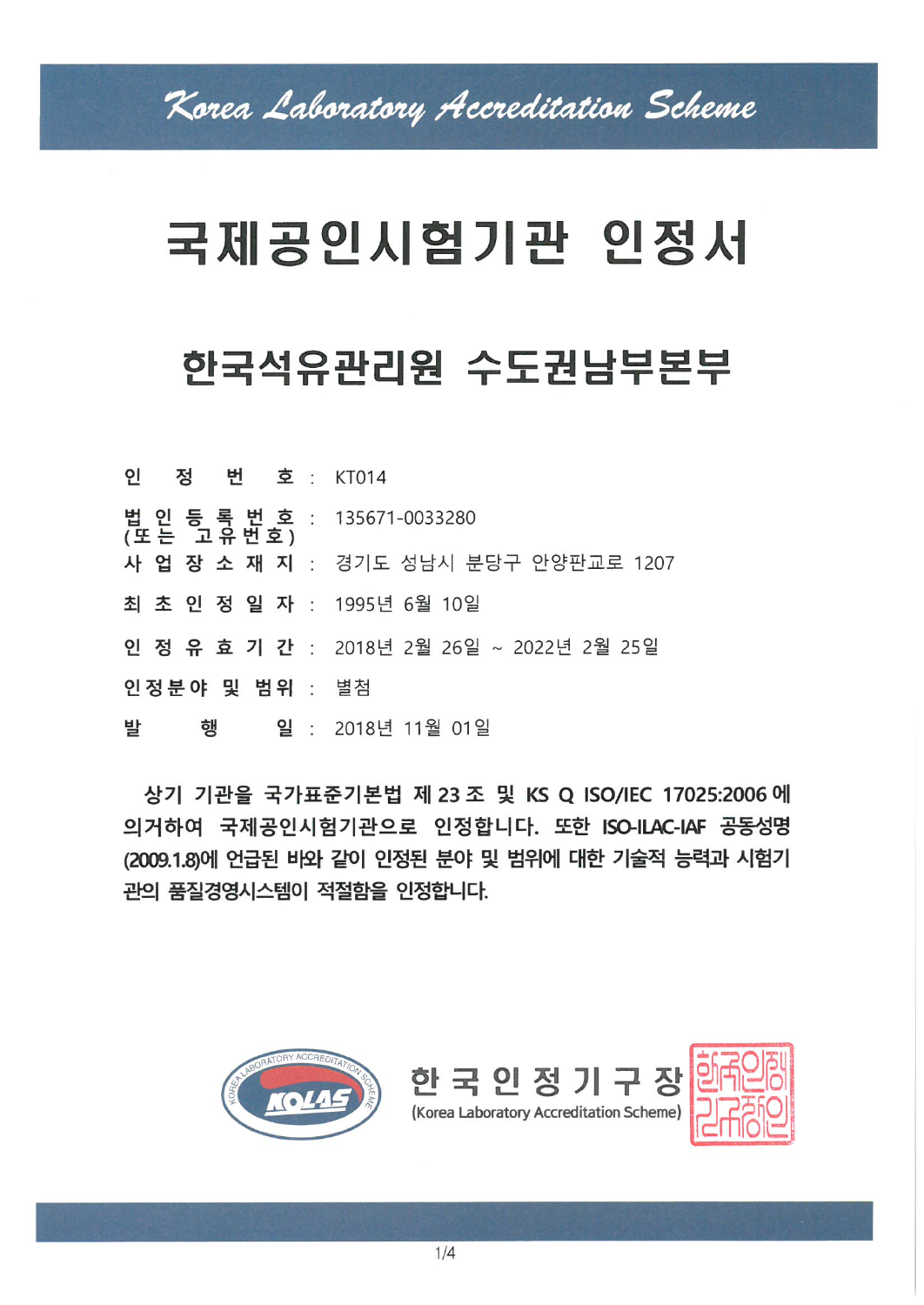# 국제공인시험기관 인정서

# 한국석유관리원 수도권남부본부

| 법 인 등 록 번 호 : 135671-0033280<br>(또는 고유번호) |                                           |
|-------------------------------------------|-------------------------------------------|
|                                           | 사 업 장 소 재 지 : 경기도 성남시 분당구 안양판교로 1207      |
| 최 초 인 정 일 자 : 1995년 6월 10일                |                                           |
|                                           | 인 정 유 효 기 간 : 2018년 2월 26일 ~ 2022년 2월 25일 |
| 인정분야 및 범위 : 별첨                            |                                           |
| <b>발 행 일</b> · 2018년 11월 01일              |                                           |

상기 기관을 국가표준기본법 제 23 조 및 KS Q ISO/IEC 17025:2006 에 의거하여 국제공인시험기관으로 인정합니다. 또한 ISO-ILAC-IAF 공동성명 (2009.1.8)에 언급된 바와 같이 인정된 분야 및 범위에 대한 기술적 능력과 시험기 관의 품질경영시스템이 적절함을 인정합니다.



 $\mathsf{P}$ 

정 번 호 : KT014

한국인정기구장

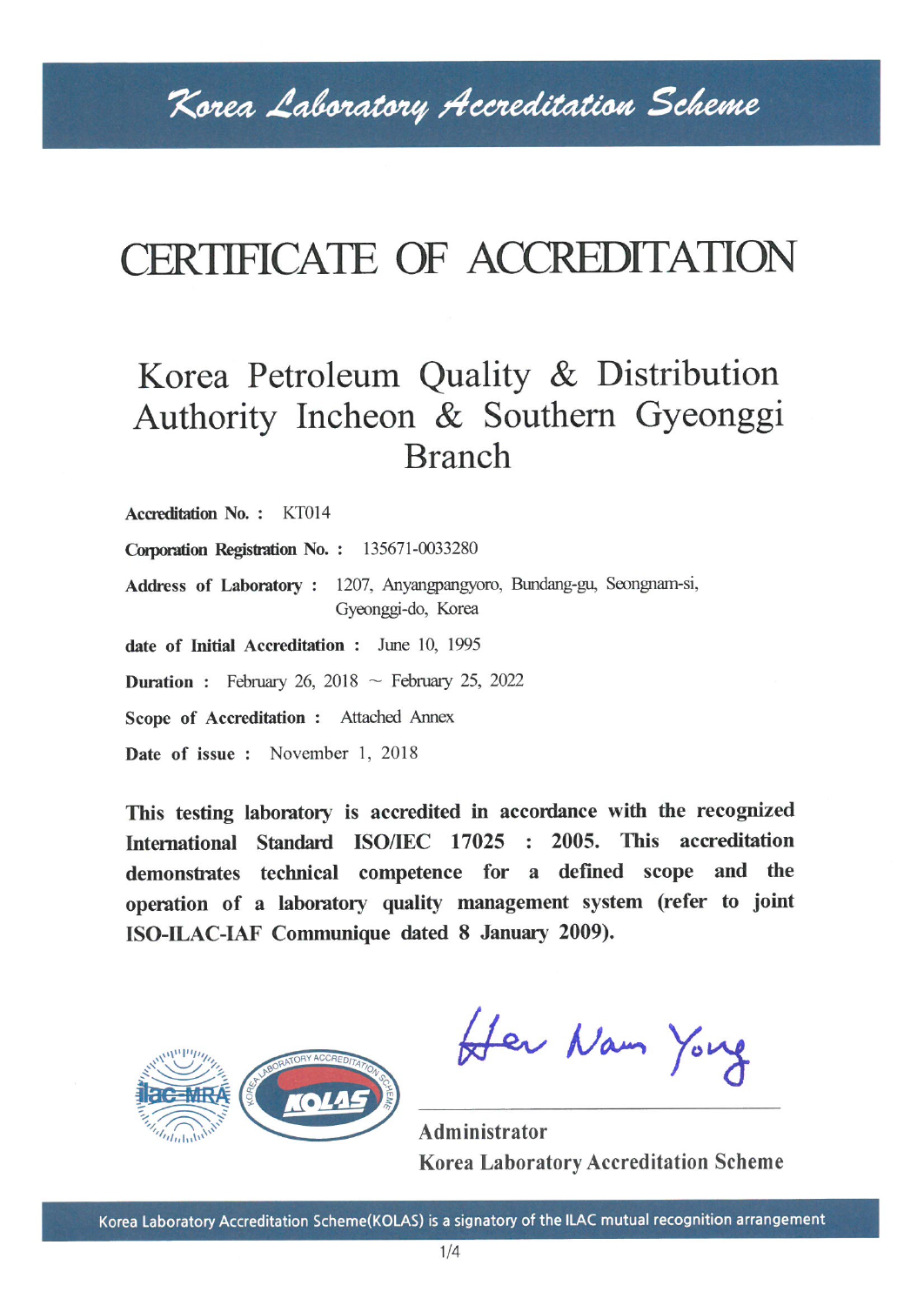# CERTIFICATE OF ACCREDITATION

### Korea Petroleum Quality & Distribution Authority Incheon & Southern Gyeonggi **Branch**

Accreditation No.: KT014

Corporation Registration No.: 135671-0033280

Address of Laboratory : 1207, Anyangpangyoro, Bundang-gu, Seongnam-si, Gyeonggi-do, Korea

date of Initial Accreditation : June 10, 1995

**Duration**: February 26, 2018 ~ February 25, 2022

Scope of Accreditation : Attached Annex

Date of issue: November 1, 2018

This testing laboratory is accredited in accordance with the recognized International Standard ISO/IEC 17025 : 2005. This accreditation demonstrates technical competence for a defined scope and the operation of a laboratory quality management system (refer to joint ISO-ILAC-IAF Communique dated 8 January 2009).



Her Nam Yong

Administrator **Korea Laboratory Accreditation Scheme**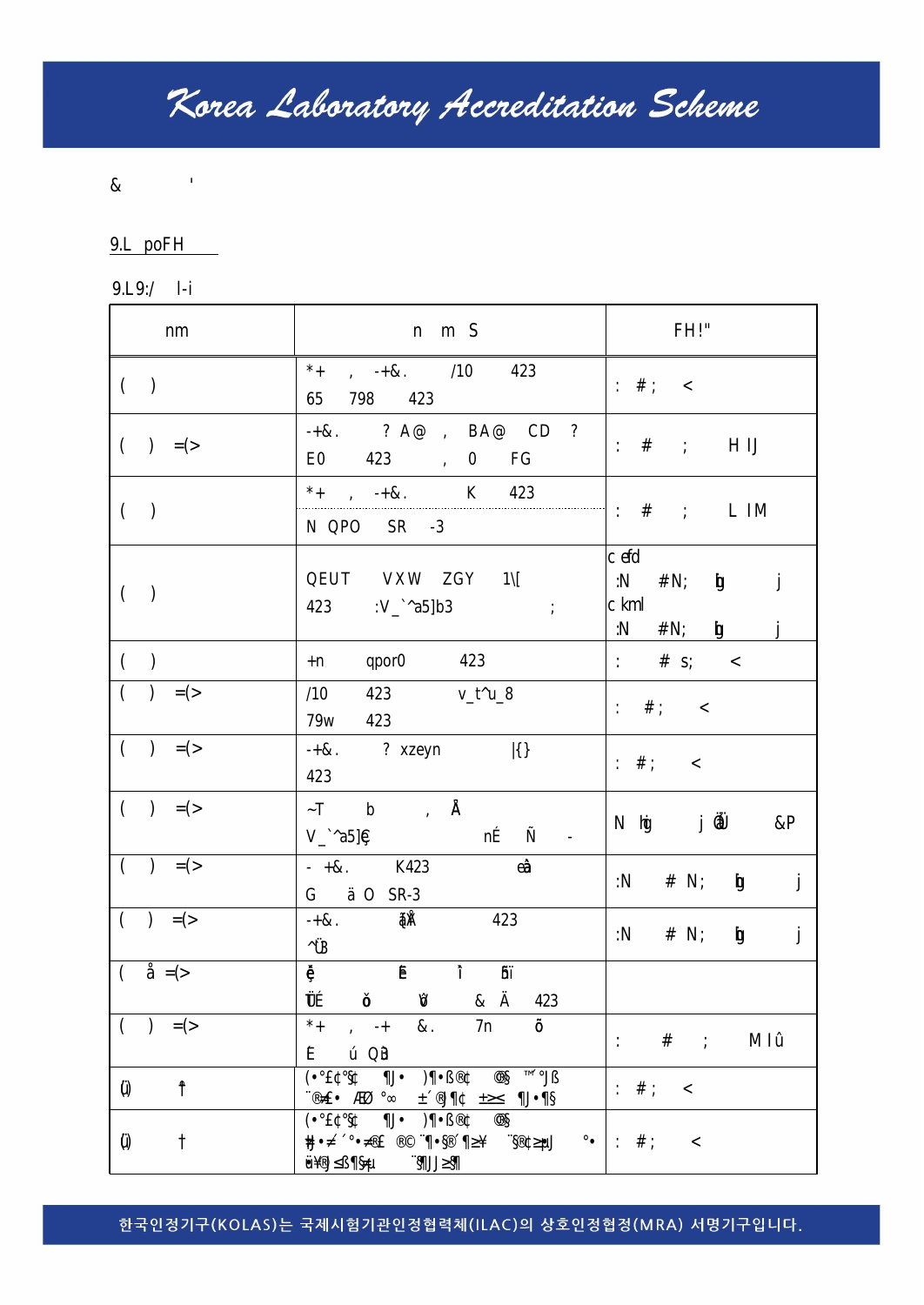#### 한국인정기구(KOLAS)는 국제시험기관인정협력체(ILAC)의 상호인정협정(MRA) 서명기구입니다.

Korea Laboratory Accreditation Scheme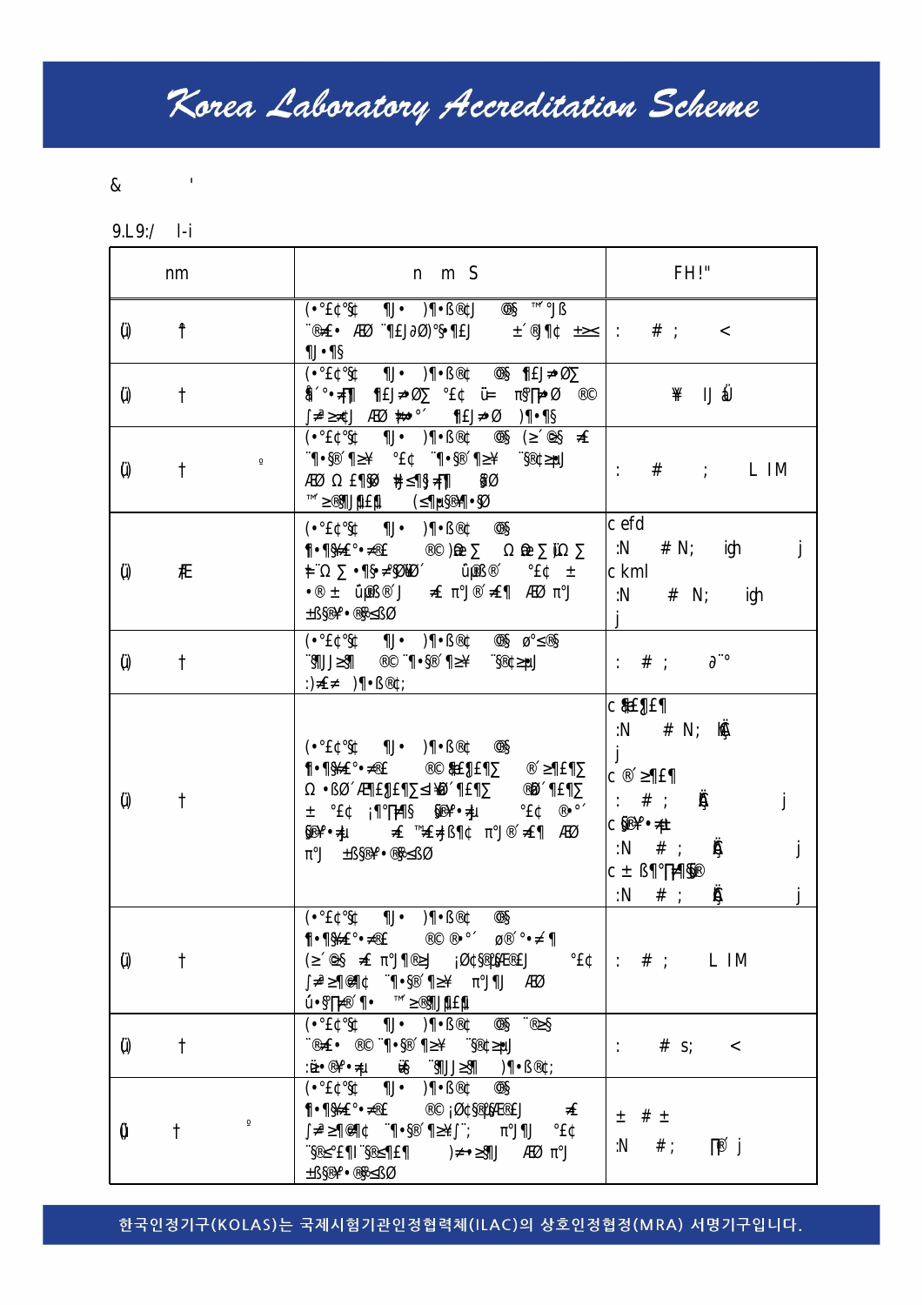#### 한국인정기구(KOLAS)는 국제시험기관인정협력체(ILAC)의 상호인정협정(MRA) 서명기구입니다.

Korea Laboratory Accreditation Scheme

٦

Г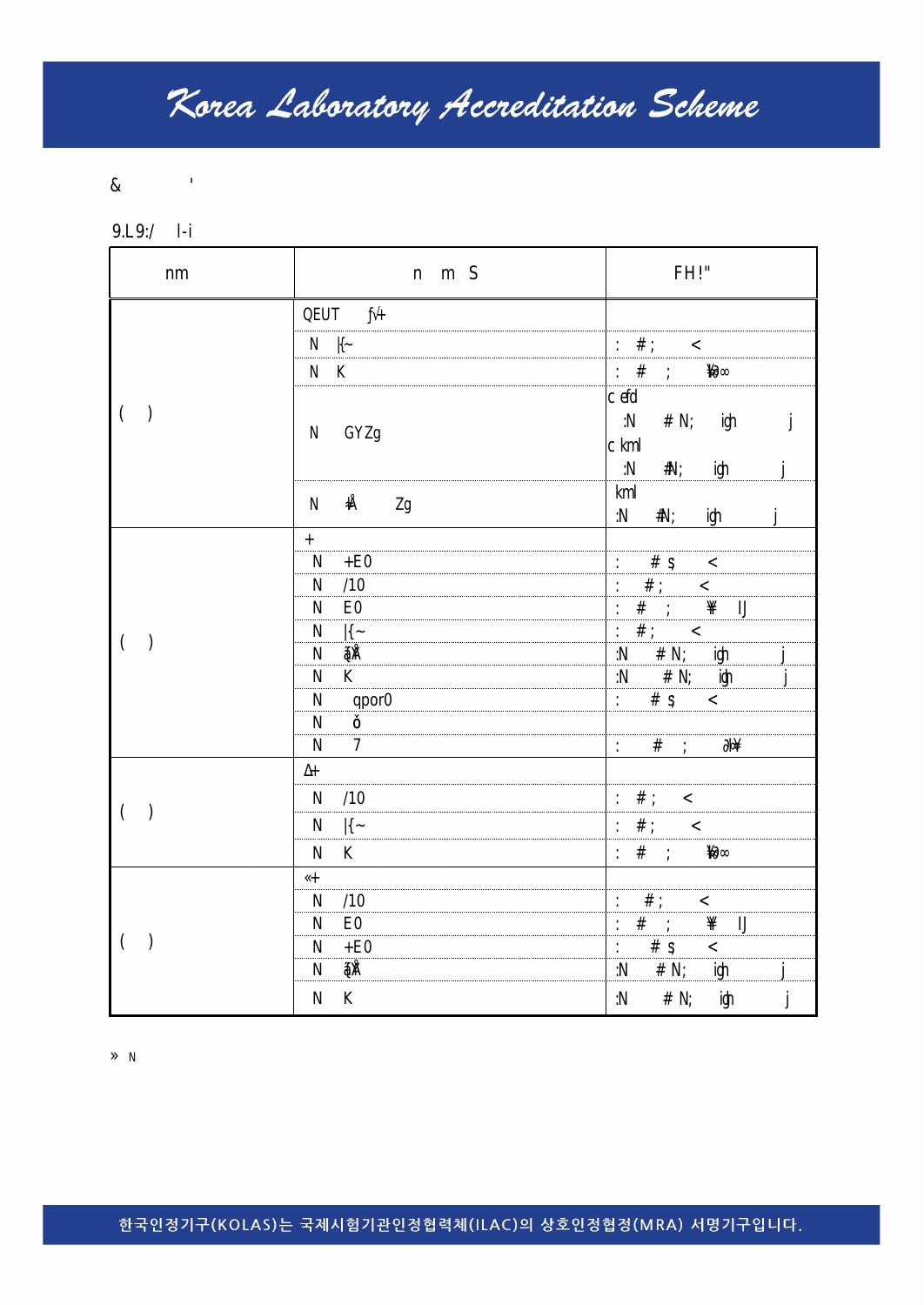한국인정기구(KOLAS)는 국제시험기관인정협력체(ILAC)의 상호인정협정(MRA) 서명기구입니다.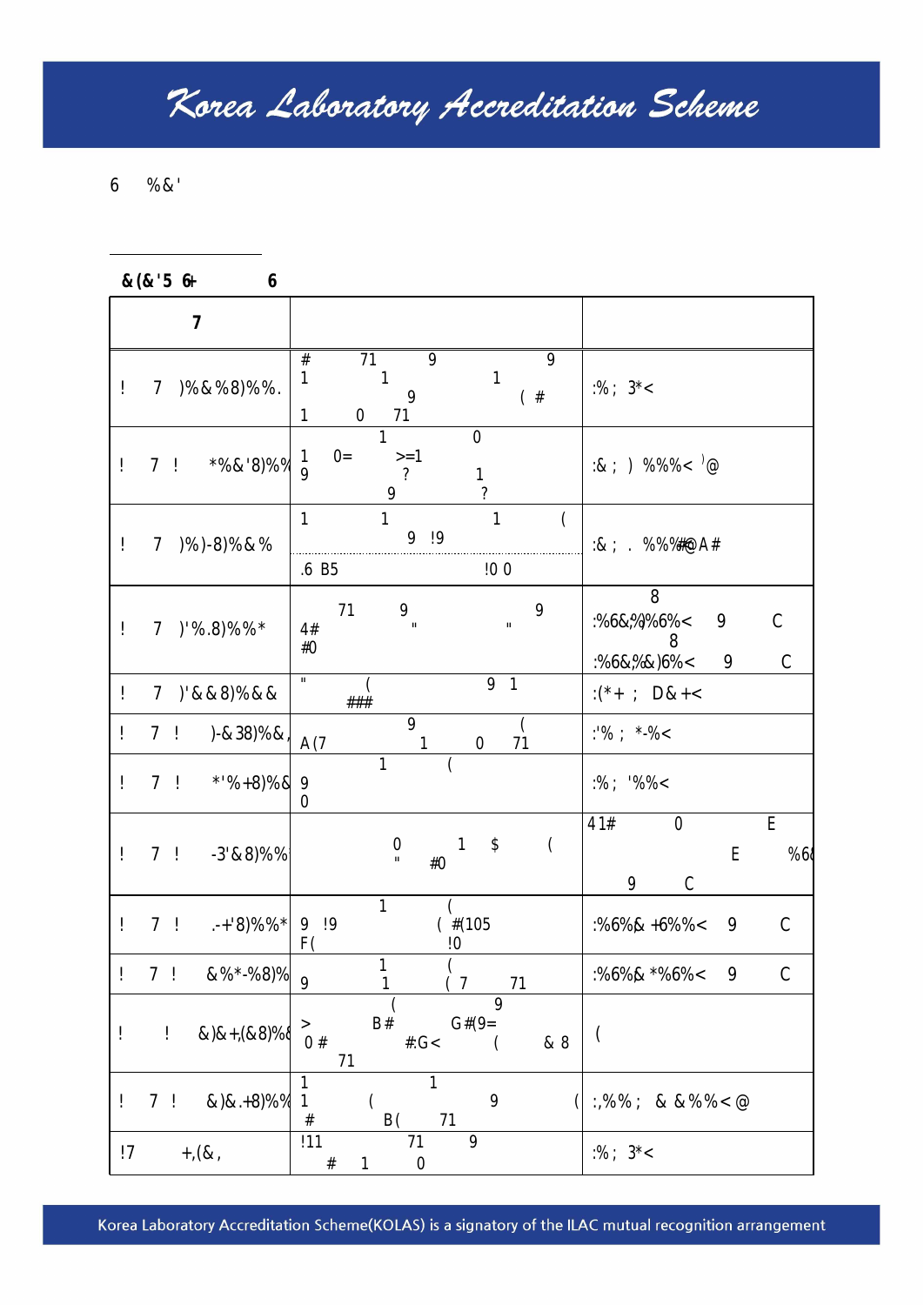Korea Laboratory Accreditation Scheme(KOLAS) is a signatory of the ILAC mutual recognition arrangement